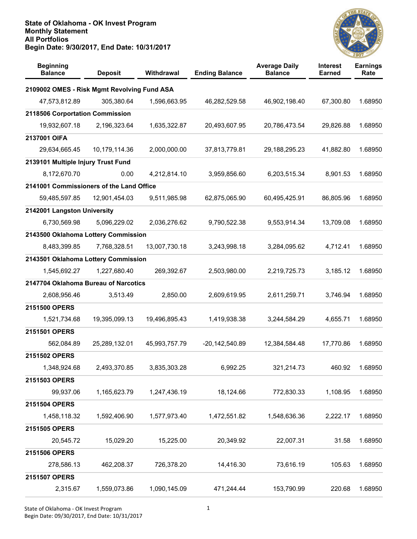

| <b>Beginning</b><br><b>Balance</b>          | <b>Deposit</b> | Withdrawal    | <b>Ending Balance</b> | <b>Average Daily</b><br><b>Balance</b> | <b>Interest</b><br><b>Earned</b> | <b>Earnings</b><br>Rate |
|---------------------------------------------|----------------|---------------|-----------------------|----------------------------------------|----------------------------------|-------------------------|
| 2109002 OMES - Risk Mgmt Revolving Fund ASA |                |               |                       |                                        |                                  |                         |
| 47,573,812.89                               | 305,380.64     | 1,596,663.95  | 46,282,529.58         | 46,902,198.40                          | 67,300.80                        | 1.68950                 |
| 2118506 Corportation Commission             |                |               |                       |                                        |                                  |                         |
| 19,932,607.18                               | 2,196,323.64   | 1,635,322.87  | 20,493,607.95         | 20,786,473.54                          | 29,826.88                        | 1.68950                 |
| 2137001 OIFA                                |                |               |                       |                                        |                                  |                         |
| 29,634,665.45                               | 10,179,114.36  | 2,000,000.00  | 37,813,779.81         | 29,188,295.23                          | 41,882.80                        | 1.68950                 |
| 2139101 Multiple Injury Trust Fund          |                |               |                       |                                        |                                  |                         |
| 8,172,670.70                                | 0.00           | 4,212,814.10  | 3,959,856.60          | 6,203,515.34                           | 8,901.53                         | 1.68950                 |
| 2141001 Commissioners of the Land Office    |                |               |                       |                                        |                                  |                         |
| 59,485,597.85                               | 12,901,454.03  | 9,511,985.98  | 62,875,065.90         | 60,495,425.91                          | 86,805.96                        | 1.68950                 |
| 2142001 Langston University                 |                |               |                       |                                        |                                  |                         |
| 6,730,569.98                                | 5,096,229.02   | 2,036,276.62  | 9,790,522.38          | 9,553,914.34                           | 13,709.08                        | 1.68950                 |
| 2143500 Oklahoma Lottery Commission         |                |               |                       |                                        |                                  |                         |
| 8,483,399.85                                | 7,768,328.51   | 13,007,730.18 | 3,243,998.18          | 3,284,095.62                           | 4,712.41                         | 1.68950                 |
| 2143501 Oklahoma Lottery Commission         |                |               |                       |                                        |                                  |                         |
| 1,545,692.27                                | 1,227,680.40   | 269,392.67    | 2,503,980.00          | 2,219,725.73                           | 3,185.12                         | 1.68950                 |
| 2147704 Oklahoma Bureau of Narcotics        |                |               |                       |                                        |                                  |                         |
| 2,608,956.46                                | 3,513.49       | 2,850.00      | 2,609,619.95          | 2,611,259.71                           | 3,746.94                         | 1.68950                 |
| 2151500 OPERS                               |                |               |                       |                                        |                                  |                         |
| 1,521,734.68                                | 19,395,099.13  | 19,496,895.43 | 1,419,938.38          | 3,244,584.29                           | 4,655.71                         | 1.68950                 |
| 2151501 OPERS                               |                |               |                       |                                        |                                  |                         |
| 562,084.89                                  | 25,289,132.01  | 45,993,757.79 | $-20,142,540.89$      | 12,384,584.48                          | 17,770.86                        | 1.68950                 |
| 2151502 OPERS                               |                |               |                       |                                        |                                  |                         |
| 1,348,924.68                                | 2,493,370.85   | 3,835,303.28  | 6,992.25              | 321,214.73                             | 460.92                           | 1.68950                 |
| 2151503 OPERS                               |                |               |                       |                                        |                                  |                         |
| 99,937.06                                   | 1,165,623.79   | 1,247,436.19  | 18,124.66             | 772,830.33                             | 1,108.95                         | 1.68950                 |
| 2151504 OPERS                               |                |               |                       |                                        |                                  |                         |
| 1,458,118.32                                | 1,592,406.90   | 1,577,973.40  | 1,472,551.82          | 1,548,636.36                           | 2,222.17                         | 1.68950                 |
| 2151505 OPERS                               |                |               |                       |                                        |                                  |                         |
| 20,545.72                                   | 15,029.20      | 15,225.00     | 20,349.92             | 22,007.31                              | 31.58                            | 1.68950                 |
| 2151506 OPERS                               |                |               |                       |                                        |                                  |                         |
| 278,586.13                                  | 462,208.37     | 726,378.20    | 14,416.30             | 73,616.19                              | 105.63                           | 1.68950                 |
| 2151507 OPERS                               |                |               |                       |                                        |                                  |                         |
| 2,315.67                                    | 1,559,073.86   | 1,090,145.09  | 471,244.44            | 153,790.99                             | 220.68                           | 1.68950                 |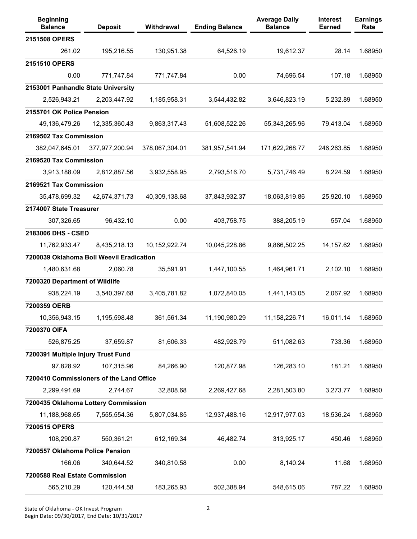| <b>Beginning</b><br><b>Balance</b>       | <b>Deposit</b> | Withdrawal     | <b>Ending Balance</b> | <b>Average Daily</b><br><b>Balance</b> | Interest<br><b>Earned</b> | <b>Earnings</b><br>Rate |
|------------------------------------------|----------------|----------------|-----------------------|----------------------------------------|---------------------------|-------------------------|
| 2151508 OPERS                            |                |                |                       |                                        |                           |                         |
| 261.02                                   | 195,216.55     | 130,951.38     | 64,526.19             | 19,612.37                              | 28.14                     | 1.68950                 |
| 2151510 OPERS                            |                |                |                       |                                        |                           |                         |
| 0.00                                     | 771,747.84     | 771,747.84     | 0.00                  | 74,696.54                              | 107.18                    | 1.68950                 |
| 2153001 Panhandle State University       |                |                |                       |                                        |                           |                         |
| 2,526,943.21                             | 2,203,447.92   | 1,185,958.31   | 3,544,432.82          | 3,646,823.19                           | 5,232.89                  | 1.68950                 |
| 2155701 OK Police Pension                |                |                |                       |                                        |                           |                         |
| 49,136,479.26                            | 12,335,360.43  | 9,863,317.43   | 51,608,522.26         | 55,343,265.96                          | 79,413.04                 | 1.68950                 |
| 2169502 Tax Commission                   |                |                |                       |                                        |                           |                         |
| 382,047,645.01                           | 377,977,200.94 | 378,067,304.01 | 381,957,541.94        | 171,622,268.77                         | 246,263.85                | 1.68950                 |
| 2169520 Tax Commission                   |                |                |                       |                                        |                           |                         |
| 3,913,188.09                             | 2,812,887.56   | 3,932,558.95   | 2,793,516.70          | 5,731,746.49                           | 8,224.59                  | 1.68950                 |
| 2169521 Tax Commission                   |                |                |                       |                                        |                           |                         |
| 35,478,699.32                            | 42,674,371.73  | 40,309,138.68  | 37,843,932.37         | 18,063,819.86                          | 25,920.10                 | 1.68950                 |
| 2174007 State Treasurer                  |                |                |                       |                                        |                           |                         |
| 307,326.65                               | 96,432.10      | 0.00           | 403,758.75            | 388,205.19                             | 557.04                    | 1.68950                 |
| 2183006 DHS - CSED                       |                |                |                       |                                        |                           |                         |
| 11,762,933.47                            | 8,435,218.13   | 10,152,922.74  | 10,045,228.86         | 9,866,502.25                           | 14,157.62                 | 1.68950                 |
| 7200039 Oklahoma Boll Weevil Eradication |                |                |                       |                                        |                           |                         |
| 1,480,631.68                             | 2,060.78       | 35,591.91      | 1,447,100.55          | 1,464,961.71                           | 2,102.10                  | 1.68950                 |
| 7200320 Department of Wildlife           |                |                |                       |                                        |                           |                         |
| 938,224.19                               | 3,540,397.68   | 3,405,781.82   | 1,072,840.05          | 1,441,143.05                           | 2,067.92                  | 1.68950                 |
| 7200359 OERB                             |                |                |                       |                                        |                           |                         |
| 10,356,943.15                            | 1,195,598.48   | 361,561.34     | 11,190,980.29         | 11,158,226.71                          | 16,011.14                 | 1.68950                 |
| 7200370 OIFA                             |                |                |                       |                                        |                           |                         |
| 526,875.25                               | 37,659.87      | 81,606.33      | 482,928.79            | 511,082.63                             | 733.36                    | 1.68950                 |
| 7200391 Multiple Injury Trust Fund       |                |                |                       |                                        |                           |                         |
| 97,828.92                                | 107,315.96     | 84,266.90      | 120,877.98            | 126,283.10                             | 181.21                    | 1.68950                 |
| 7200410 Commissioners of the Land Office |                |                |                       |                                        |                           |                         |
| 2,299,491.69                             | 2,744.67       | 32,808.68      | 2,269,427.68          | 2,281,503.80                           | 3,273.77                  | 1.68950                 |
| 7200435 Oklahoma Lottery Commission      |                |                |                       |                                        |                           |                         |
| 11,188,968.65                            | 7,555,554.36   | 5,807,034.85   | 12,937,488.16         | 12,917,977.03                          | 18,536.24                 | 1.68950                 |
| 7200515 OPERS                            |                |                |                       |                                        |                           |                         |
| 108,290.87                               | 550,361.21     | 612,169.34     | 46,482.74             | 313,925.17                             | 450.46                    | 1.68950                 |
| 7200557 Oklahoma Police Pension          |                |                |                       |                                        |                           |                         |
| 166.06                                   | 340,644.52     | 340,810.58     | 0.00                  | 8,140.24                               | 11.68                     | 1.68950                 |
| 7200588 Real Estate Commission           |                |                |                       |                                        |                           |                         |
| 565,210.29                               | 120,444.58     | 183,265.93     | 502,388.94            | 548,615.06                             | 787.22                    | 1.68950                 |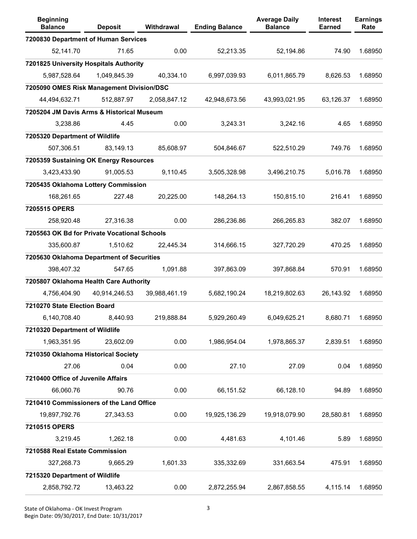| <b>Beginning</b><br><b>Balance</b>           | <b>Deposit</b> | Withdrawal    | <b>Ending Balance</b> | <b>Average Daily</b><br><b>Balance</b> | <b>Interest</b><br><b>Earned</b> | <b>Earnings</b><br>Rate |
|----------------------------------------------|----------------|---------------|-----------------------|----------------------------------------|----------------------------------|-------------------------|
| 7200830 Department of Human Services         |                |               |                       |                                        |                                  |                         |
| 52,141.70                                    | 71.65          | 0.00          | 52,213.35             | 52,194.86                              | 74.90                            | 1.68950                 |
| 7201825 University Hospitals Authority       |                |               |                       |                                        |                                  |                         |
| 5,987,528.64                                 | 1,049,845.39   | 40,334.10     | 6,997,039.93          | 6,011,865.79                           | 8,626.53                         | 1.68950                 |
| 7205090 OMES Risk Management Division/DSC    |                |               |                       |                                        |                                  |                         |
| 44,494,632.71                                | 512,887.97     | 2,058,847.12  | 42,948,673.56         | 43,993,021.95                          | 63,126.37                        | 1.68950                 |
| 7205204 JM Davis Arms & Historical Museum    |                |               |                       |                                        |                                  |                         |
| 3,238.86                                     | 4.45           | 0.00          | 3,243.31              | 3,242.16                               | 4.65                             | 1.68950                 |
| 7205320 Department of Wildlife               |                |               |                       |                                        |                                  |                         |
| 507,306.51                                   | 83,149.13      | 85,608.97     | 504,846.67            | 522,510.29                             | 749.76                           | 1.68950                 |
| 7205359 Sustaining OK Energy Resources       |                |               |                       |                                        |                                  |                         |
| 3,423,433.90                                 | 91,005.53      | 9,110.45      | 3,505,328.98          | 3,496,210.75                           | 5,016.78                         | 1.68950                 |
| 7205435 Oklahoma Lottery Commission          |                |               |                       |                                        |                                  |                         |
| 168,261.65                                   | 227.48         | 20,225.00     | 148,264.13            | 150,815.10                             | 216.41                           | 1.68950                 |
| 7205515 OPERS                                |                |               |                       |                                        |                                  |                         |
| 258,920.48                                   | 27,316.38      | 0.00          | 286,236.86            | 266,265.83                             | 382.07                           | 1.68950                 |
| 7205563 OK Bd for Private Vocational Schools |                |               |                       |                                        |                                  |                         |
| 335,600.87                                   | 1,510.62       | 22,445.34     | 314,666.15            | 327,720.29                             | 470.25                           | 1.68950                 |
| 7205630 Oklahoma Department of Securities    |                |               |                       |                                        |                                  |                         |
| 398,407.32                                   | 547.65         | 1,091.88      | 397,863.09            | 397,868.84                             | 570.91                           | 1.68950                 |
| 7205807 Oklahoma Health Care Authority       |                |               |                       |                                        |                                  |                         |
| 4,756,404.90                                 | 40,914,246.53  | 39,988,461.19 | 5,682,190.24          | 18,219,802.63                          | 26,143.92                        | 1.68950                 |
| 7210270 State Election Board                 |                |               |                       |                                        |                                  |                         |
| 6,140,708.40                                 | 8,440.93       | 219,888.84    | 5,929,260.49          | 6,049,625.21                           | 8,680.71                         | 1.68950                 |
| 7210320 Department of Wildlife               |                |               |                       |                                        |                                  |                         |
| 1,963,351.95                                 | 23,602.09      | 0.00          | 1,986,954.04          | 1,978,865.37                           | 2,839.51                         | 1.68950                 |
| 7210350 Oklahoma Historical Society          |                |               |                       |                                        |                                  |                         |
| 27.06                                        | 0.04           | 0.00          | 27.10                 | 27.09                                  | 0.04                             | 1.68950                 |
| 7210400 Office of Juvenile Affairs           |                |               |                       |                                        |                                  |                         |
| 66,060.76                                    | 90.76          | 0.00          | 66,151.52             | 66,128.10                              | 94.89                            | 1.68950                 |
| 7210410 Commissioners of the Land Office     |                |               |                       |                                        |                                  |                         |
| 19,897,792.76                                | 27,343.53      | 0.00          | 19,925,136.29         | 19,918,079.90                          | 28,580.81                        | 1.68950                 |
| 7210515 OPERS                                |                |               |                       |                                        |                                  |                         |
| 3,219.45                                     | 1,262.18       | 0.00          | 4,481.63              | 4,101.46                               | 5.89                             | 1.68950                 |
| 7210588 Real Estate Commission               |                |               |                       |                                        |                                  |                         |
| 327,268.73                                   | 9,665.29       | 1,601.33      | 335,332.69            | 331,663.54                             | 475.91                           | 1.68950                 |
| 7215320 Department of Wildlife               |                |               |                       |                                        |                                  |                         |
| 2,858,792.72                                 | 13,463.22      | 0.00          | 2,872,255.94          | 2,867,858.55                           | 4,115.14                         | 1.68950                 |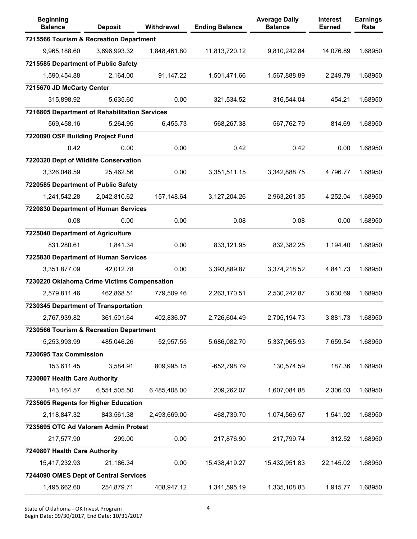| <b>Beginning</b><br><b>Balance</b>            | <b>Deposit</b> | Withdrawal   | <b>Ending Balance</b> | <b>Average Daily</b><br><b>Balance</b> | Interest<br>Earned | <b>Earnings</b><br>Rate |
|-----------------------------------------------|----------------|--------------|-----------------------|----------------------------------------|--------------------|-------------------------|
| 7215566 Tourism & Recreation Department       |                |              |                       |                                        |                    |                         |
| 9,965,188.60                                  | 3,696,993.32   | 1,848,461.80 | 11,813,720.12         | 9,810,242.84                           | 14,076.89          | 1.68950                 |
| 7215585 Department of Public Safety           |                |              |                       |                                        |                    |                         |
| 1,590,454.88                                  | 2,164.00       | 91,147.22    | 1,501,471.66          | 1,567,888.89                           | 2,249.79           | 1.68950                 |
| 7215670 JD McCarty Center                     |                |              |                       |                                        |                    |                         |
| 315,898.92                                    | 5,635.60       | 0.00         | 321,534.52            | 316,544.04                             | 454.21             | 1.68950                 |
| 7216805 Department of Rehabilitation Services |                |              |                       |                                        |                    |                         |
| 569,458.16                                    | 5,264.95       | 6,455.73     | 568,267.38            | 567,762.79                             | 814.69             | 1.68950                 |
| 7220090 OSF Building Project Fund             |                |              |                       |                                        |                    |                         |
| 0.42                                          | 0.00           | 0.00         | 0.42                  | 0.42                                   | 0.00               | 1.68950                 |
| 7220320 Dept of Wildlife Conservation         |                |              |                       |                                        |                    |                         |
| 3,326,048.59                                  | 25,462.56      | 0.00         | 3,351,511.15          | 3,342,888.75                           | 4,796.77           | 1.68950                 |
| 7220585 Department of Public Safety           |                |              |                       |                                        |                    |                         |
| 1,241,542.28                                  | 2,042,810.62   | 157,148.64   | 3, 127, 204. 26       | 2,963,261.35                           | 4,252.04           | 1.68950                 |
| 7220830 Department of Human Services          |                |              |                       |                                        |                    |                         |
| 0.08                                          | 0.00           | 0.00         | 0.08                  | 0.08                                   | 0.00               | 1.68950                 |
| 7225040 Department of Agriculture             |                |              |                       |                                        |                    |                         |
| 831,280.61                                    | 1,841.34       | 0.00         | 833,121.95            | 832,382.25                             | 1,194.40           | 1.68950                 |
| 7225830 Department of Human Services          |                |              |                       |                                        |                    |                         |
| 3,351,877.09                                  | 42,012.78      | 0.00         | 3,393,889.87          | 3,374,218.52                           | 4,841.73           | 1.68950                 |
| 7230220 Oklahoma Crime Victims Compensation   |                |              |                       |                                        |                    |                         |
| 2,579,811.46                                  | 462,868.51     | 779,509.46   | 2,263,170.51          | 2,530,242.87                           | 3,630.69           | 1.68950                 |
| 7230345 Department of Transportation          |                |              |                       |                                        |                    |                         |
| 2,767,939.82                                  | 361,501.64     | 402,836.97   | 2,726,604.49          | 2,705,194.73                           | 3,881.73           | 1.68950                 |
| 7230566 Tourism & Recreation Department       |                |              |                       |                                        |                    |                         |
| 5,253,993.99                                  | 485,046.26     | 52,957.55    | 5,686,082.70          | 5,337,965.93                           | 7,659.54           | 1.68950                 |
| 7230695 Tax Commission                        |                |              |                       |                                        |                    |                         |
| 153,611.45                                    | 3,584.91       | 809,995.15   | $-652,798.79$         | 130,574.59                             | 187.36             | 1.68950                 |
| 7230807 Health Care Authority                 |                |              |                       |                                        |                    |                         |
| 143, 164. 57                                  | 6,551,505.50   | 6,485,408.00 | 209,262.07            | 1,607,084.88                           | 2,306.03           | 1.68950                 |
| 7235605 Regents for Higher Education          |                |              |                       |                                        |                    |                         |
| 2,118,847.32                                  | 843,561.38     | 2,493,669.00 | 468,739.70            | 1,074,569.57                           | 1,541.92           | 1.68950                 |
| 7235695 OTC Ad Valorem Admin Protest          |                |              |                       |                                        |                    |                         |
| 217,577.90                                    | 299.00         | 0.00         | 217,876.90            | 217,799.74                             | 312.52             | 1.68950                 |
| 7240807 Health Care Authority                 |                |              |                       |                                        |                    |                         |
| 15,417,232.93                                 | 21,186.34      | 0.00         | 15,438,419.27         | 15,432,951.83                          | 22,145.02          | 1.68950                 |
| 7244090 OMES Dept of Central Services         |                |              |                       |                                        |                    |                         |
| 1,495,662.60                                  | 254,879.71     | 408,947.12   | 1,341,595.19          | 1,335,108.83                           | 1,915.77           | 1.68950                 |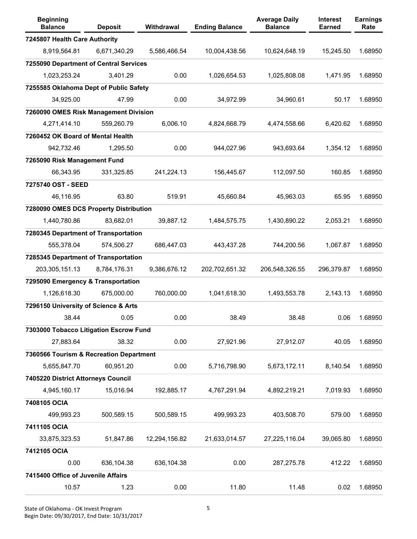| <b>Beginning</b><br><b>Balance</b>      | <b>Deposit</b> | <b>Withdrawal</b> | <b>Ending Balance</b> | <b>Average Daily</b><br><b>Balance</b> | <b>Interest</b><br><b>Earned</b> | <b>Earnings</b><br>Rate |
|-----------------------------------------|----------------|-------------------|-----------------------|----------------------------------------|----------------------------------|-------------------------|
| 7245807 Health Care Authority           |                |                   |                       |                                        |                                  |                         |
| 8,919,564.81                            | 6,671,340.29   | 5,586,466.54      | 10,004,438.56         | 10,624,648.19                          | 15,245.50                        | 1.68950                 |
| 7255090 Department of Central Services  |                |                   |                       |                                        |                                  |                         |
| 1,023,253.24                            | 3,401.29       | 0.00              | 1,026,654.53          | 1,025,808.08                           | 1,471.95                         | 1.68950                 |
| 7255585 Oklahoma Dept of Public Safety  |                |                   |                       |                                        |                                  |                         |
| 34,925.00                               | 47.99          | 0.00              | 34,972.99             | 34,960.61                              | 50.17                            | 1.68950                 |
| 7260090 OMES Risk Management Division   |                |                   |                       |                                        |                                  |                         |
| 4,271,414.10                            | 559,260.79     | 6,006.10          | 4,824,668.79          | 4,474,558.66                           | 6,420.62                         | 1.68950                 |
| 7260452 OK Board of Mental Health       |                |                   |                       |                                        |                                  |                         |
| 942,732.46                              | 1,295.50       | 0.00              | 944,027.96            | 943,693.64                             | 1,354.12                         | 1.68950                 |
| 7265090 Risk Management Fund            |                |                   |                       |                                        |                                  |                         |
| 66,343.95                               | 331,325.85     | 241,224.13        | 156,445.67            | 112,097.50                             | 160.85                           | 1.68950                 |
| 7275740 OST - SEED                      |                |                   |                       |                                        |                                  |                         |
| 46,116.95                               | 63.80          | 519.91            | 45,660.84             | 45,963.03                              | 65.95                            | 1.68950                 |
| 7280090 OMES DCS Property Distribution  |                |                   |                       |                                        |                                  |                         |
| 1,440,780.86                            | 83,682.01      | 39,887.12         | 1,484,575.75          | 1,430,890.22                           | 2,053.21                         | 1.68950                 |
| 7280345 Department of Transportation    |                |                   |                       |                                        |                                  |                         |
| 555,378.04                              | 574,506.27     | 686,447.03        | 443,437.28            | 744,200.56                             | 1,067.87                         | 1.68950                 |
| 7285345 Department of Transportation    |                |                   |                       |                                        |                                  |                         |
| 203,305,151.13                          | 8,784,176.31   | 9,386,676.12      | 202,702,651.32        | 206,548,326.55                         | 296,379.87                       | 1.68950                 |
| 7295090 Emergency & Transportation      |                |                   |                       |                                        |                                  |                         |
| 1,126,618.30                            | 675,000.00     | 760,000.00        | 1,041,618.30          | 1,493,553.78                           | 2,143.13                         | 1.68950                 |
| 7296150 University of Science & Arts    |                |                   |                       |                                        |                                  |                         |
| 38.44                                   | 0.05           | 0.00              | 38.49                 | 38.48                                  | 0.06                             | 1.68950                 |
| 7303000 Tobacco Litigation Escrow Fund  |                |                   |                       |                                        |                                  |                         |
| 27,883.64                               | 38.32          | 0.00              | 27,921.96             | 27,912.07                              | 40.05                            | 1.68950                 |
| 7360566 Tourism & Recreation Department |                |                   |                       |                                        |                                  |                         |
| 5,655,847.70                            | 60,951.20      | 0.00              | 5,716,798.90          | 5,673,172.11                           | 8,140.54                         | 1.68950                 |
| 7405220 District Attorneys Council      |                |                   |                       |                                        |                                  |                         |
| 4,945,160.17                            | 15,016.94      | 192,885.17        | 4,767,291.94          | 4,892,219.21                           | 7,019.93                         | 1.68950                 |
| 7408105 OCIA                            |                |                   |                       |                                        |                                  |                         |
| 499,993.23                              | 500,589.15     | 500,589.15        | 499,993.23            | 403,508.70                             | 579.00                           | 1.68950                 |
| 7411105 OCIA                            |                |                   |                       |                                        |                                  |                         |
| 33,875,323.53                           | 51,847.86      | 12,294,156.82     | 21,633,014.57         | 27,225,116.04                          | 39,065.80                        | 1.68950                 |
| 7412105 OCIA                            |                |                   |                       |                                        |                                  |                         |
| 0.00                                    | 636,104.38     | 636,104.38        | 0.00                  | 287,275.78                             | 412.22                           | 1.68950                 |
| 7415400 Office of Juvenile Affairs      |                |                   |                       |                                        |                                  |                         |
| 10.57                                   | 1.23           | 0.00              | 11.80                 | 11.48                                  | 0.02                             | 1.68950                 |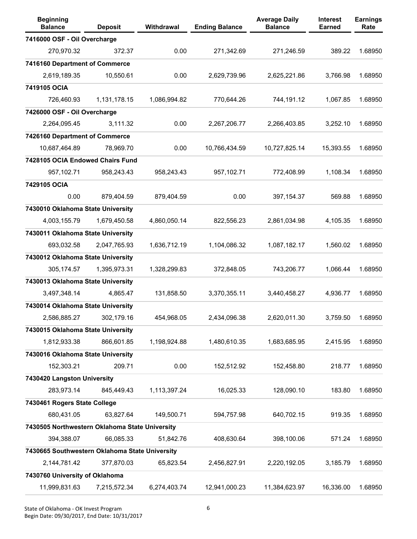| <b>Beginning</b><br><b>Balance</b>             | <b>Deposit</b> | Withdrawal   | <b>Ending Balance</b> | <b>Average Daily</b><br><b>Balance</b> | Interest<br><b>Earned</b> | <b>Earnings</b><br>Rate |
|------------------------------------------------|----------------|--------------|-----------------------|----------------------------------------|---------------------------|-------------------------|
| 7416000 OSF - Oil Overcharge                   |                |              |                       |                                        |                           |                         |
| 270,970.32                                     | 372.37         | 0.00         | 271,342.69            | 271,246.59                             | 389.22                    | 1.68950                 |
| 7416160 Department of Commerce                 |                |              |                       |                                        |                           |                         |
| 2,619,189.35                                   | 10,550.61      | 0.00         | 2,629,739.96          | 2,625,221.86                           | 3,766.98                  | 1.68950                 |
| 7419105 OCIA                                   |                |              |                       |                                        |                           |                         |
| 726,460.93                                     | 1,131,178.15   | 1,086,994.82 | 770,644.26            | 744,191.12                             | 1,067.85                  | 1.68950                 |
| 7426000 OSF - Oil Overcharge                   |                |              |                       |                                        |                           |                         |
| 2,264,095.45                                   | 3,111.32       | 0.00         | 2,267,206.77          | 2,266,403.85                           | 3,252.10                  | 1.68950                 |
| 7426160 Department of Commerce                 |                |              |                       |                                        |                           |                         |
| 10,687,464.89                                  | 78,969.70      | 0.00         | 10,766,434.59         | 10,727,825.14                          | 15,393.55                 | 1.68950                 |
| 7428105 OCIA Endowed Chairs Fund               |                |              |                       |                                        |                           |                         |
| 957,102.71                                     | 958,243.43     | 958,243.43   | 957,102.71            | 772,408.99                             | 1,108.34                  | 1.68950                 |
| 7429105 OCIA                                   |                |              |                       |                                        |                           |                         |
| 0.00                                           | 879,404.59     | 879,404.59   | 0.00                  | 397, 154. 37                           | 569.88                    | 1.68950                 |
| 7430010 Oklahoma State University              |                |              |                       |                                        |                           |                         |
| 4,003,155.79                                   | 1,679,450.58   | 4,860,050.14 | 822,556.23            | 2,861,034.98                           | 4,105.35                  | 1.68950                 |
| 7430011 Oklahoma State University              |                |              |                       |                                        |                           |                         |
| 693,032.58                                     | 2,047,765.93   | 1,636,712.19 | 1,104,086.32          | 1,087,182.17                           | 1,560.02                  | 1.68950                 |
| 7430012 Oklahoma State University              |                |              |                       |                                        |                           |                         |
| 305, 174.57                                    | 1,395,973.31   | 1,328,299.83 | 372,848.05            | 743,206.77                             | 1,066.44                  | 1.68950                 |
| 7430013 Oklahoma State University              |                |              |                       |                                        |                           |                         |
| 3,497,348.14                                   | 4,865.47       | 131,858.50   | 3,370,355.11          | 3,440,458.27                           | 4,936.77                  | 1.68950                 |
| 7430014 Oklahoma State University              |                |              |                       |                                        |                           |                         |
| 2,586,885.27                                   | 302,179.16     | 454,968.05   | 2,434,096.38          | 2,620,011.30                           | 3.759.50                  | 1.68950                 |
| 7430015 Oklahoma State University              |                |              |                       |                                        |                           |                         |
| 1,812,933.38                                   | 866,601.85     | 1,198,924.88 | 1,480,610.35          | 1,683,685.95                           | 2,415.95                  | 1.68950                 |
| 7430016 Oklahoma State University              |                |              |                       |                                        |                           |                         |
| 152,303.21                                     | 209.71         | 0.00         | 152,512.92            | 152,458.80                             | 218.77                    | 1.68950                 |
| 7430420 Langston University                    |                |              |                       |                                        |                           |                         |
| 283,973.14                                     | 845,449.43     | 1,113,397.24 | 16,025.33             | 128,090.10                             | 183.80                    | 1.68950                 |
| 7430461 Rogers State College                   |                |              |                       |                                        |                           |                         |
| 680,431.05                                     | 63,827.64      | 149,500.71   | 594,757.98            | 640,702.15                             | 919.35                    | 1.68950                 |
| 7430505 Northwestern Oklahoma State University |                |              |                       |                                        |                           |                         |
| 394,388.07                                     | 66,085.33      | 51,842.76    | 408,630.64            | 398,100.06                             | 571.24                    | 1.68950                 |
| 7430665 Southwestern Oklahoma State University |                |              |                       |                                        |                           |                         |
| 2,144,781.42                                   | 377,870.03     | 65,823.54    | 2,456,827.91          | 2,220,192.05                           | 3,185.79                  | 1.68950                 |
| 7430760 University of Oklahoma                 |                |              |                       |                                        |                           |                         |
| 11,999,831.63                                  | 7,215,572.34   | 6,274,403.74 | 12,941,000.23         | 11,384,623.97                          | 16,336.00                 | 1.68950                 |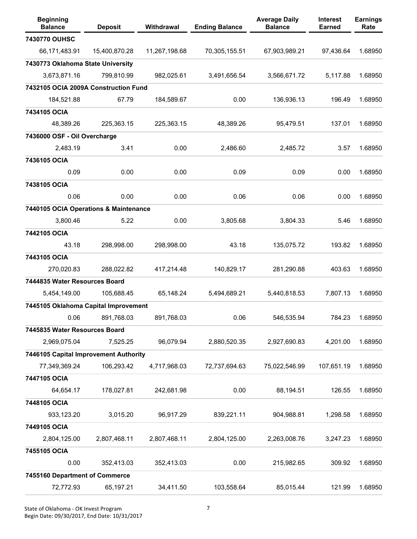| <b>Beginning</b><br><b>Balance</b>    | <b>Deposit</b> | Withdrawal    | <b>Ending Balance</b> | <b>Average Daily</b><br><b>Balance</b> | Interest<br><b>Earned</b> | <b>Earnings</b><br>Rate |
|---------------------------------------|----------------|---------------|-----------------------|----------------------------------------|---------------------------|-------------------------|
| 7430770 OUHSC                         |                |               |                       |                                        |                           |                         |
| 66,171,483.91                         | 15,400,870.28  | 11,267,198.68 | 70,305,155.51         | 67,903,989.21                          | 97,436.64                 | 1.68950                 |
| 7430773 Oklahoma State University     |                |               |                       |                                        |                           |                         |
| 3,673,871.16                          | 799,810.99     | 982,025.61    | 3,491,656.54          | 3,566,671.72                           | 5,117.88                  | 1.68950                 |
| 7432105 OCIA 2009A Construction Fund  |                |               |                       |                                        |                           |                         |
| 184,521.88                            | 67.79          | 184,589.67    | 0.00                  | 136,936.13                             | 196.49                    | 1.68950                 |
| 7434105 OCIA                          |                |               |                       |                                        |                           |                         |
| 48,389.26                             | 225,363.15     | 225,363.15    | 48,389.26             | 95,479.51                              | 137.01                    | 1.68950                 |
| 7436000 OSF - Oil Overcharge          |                |               |                       |                                        |                           |                         |
| 2,483.19                              | 3.41           | 0.00          | 2,486.60              | 2,485.72                               | 3.57                      | 1.68950                 |
| 7436105 OCIA                          |                |               |                       |                                        |                           |                         |
| 0.09                                  | 0.00           | 0.00          | 0.09                  | 0.09                                   | 0.00                      | 1.68950                 |
| 7438105 OCIA                          |                |               |                       |                                        |                           |                         |
| 0.06                                  | 0.00           | 0.00          | 0.06                  | 0.06                                   | 0.00                      | 1.68950                 |
| 7440105 OCIA Operations & Maintenance |                |               |                       |                                        |                           |                         |
| 3,800.46                              | 5.22           | 0.00          | 3,805.68              | 3,804.33                               | 5.46                      | 1.68950                 |
| 7442105 OCIA                          |                |               |                       |                                        |                           |                         |
| 43.18                                 | 298,998.00     | 298,998.00    | 43.18                 | 135,075.72                             | 193.82                    | 1.68950                 |
| 7443105 OCIA                          |                |               |                       |                                        |                           |                         |
| 270,020.83                            | 288,022.82     | 417,214.48    | 140,829.17            | 281,290.88                             | 403.63                    | 1.68950                 |
| 7444835 Water Resources Board         |                |               |                       |                                        |                           |                         |
| 5,454,149.00                          | 105,688.45     | 65,148.24     | 5,494,689.21          | 5,440,818.53                           | 7,807.13                  | 1.68950                 |
| 7445105 Oklahoma Capital Improvement  |                |               |                       |                                        |                           |                         |
| 0.06                                  | 891,768.03     | 891,768.03    | 0.06                  | 546,535.94                             | 784.23                    | 1.68950                 |
| 7445835 Water Resources Board         |                |               |                       |                                        |                           |                         |
| 2,969,075.04                          | 7,525.25       | 96,079.94     | 2,880,520.35          | 2,927,690.83                           | 4,201.00                  | 1.68950                 |
| 7446105 Capital Improvement Authority |                |               |                       |                                        |                           |                         |
| 77,349,369.24                         | 106,293.42     | 4,717,968.03  | 72,737,694.63         | 75,022,546.99                          | 107,651.19                | 1.68950                 |
| 7447105 OCIA                          |                |               |                       |                                        |                           |                         |
| 64,654.17                             | 178,027.81     | 242,681.98    | 0.00                  | 88,194.51                              | 126.55                    | 1.68950                 |
| 7448105 OCIA                          |                |               |                       |                                        |                           |                         |
| 933,123.20                            | 3,015.20       | 96,917.29     | 839,221.11            | 904,988.81                             | 1,298.58                  | 1.68950                 |
| 7449105 OCIA                          |                |               |                       |                                        |                           |                         |
| 2,804,125.00                          | 2,807,468.11   | 2,807,468.11  | 2,804,125.00          | 2,263,008.76                           | 3,247.23                  | 1.68950                 |
| 7455105 OCIA                          |                |               |                       |                                        |                           |                         |
| 0.00                                  | 352,413.03     | 352,413.03    | 0.00                  | 215,982.65                             | 309.92                    | 1.68950                 |
| 7455160 Department of Commerce        |                |               |                       |                                        |                           |                         |
| 72,772.93                             | 65,197.21      | 34,411.50     | 103,558.64            | 85,015.44                              | 121.99                    | 1.68950                 |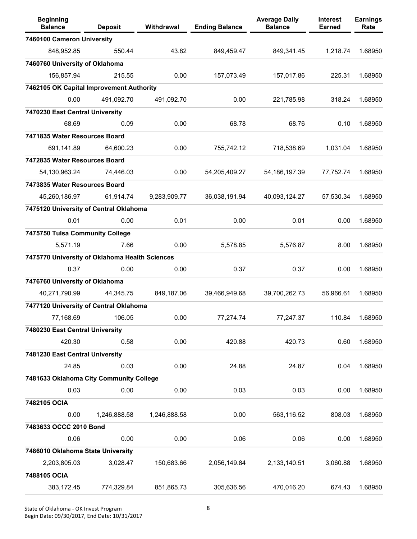| <b>Beginning</b><br><b>Balance</b>             | <b>Deposit</b> | Withdrawal   | <b>Ending Balance</b> | <b>Average Daily</b><br><b>Balance</b> | <b>Interest</b><br><b>Earned</b> | <b>Earnings</b><br>Rate |
|------------------------------------------------|----------------|--------------|-----------------------|----------------------------------------|----------------------------------|-------------------------|
| 7460100 Cameron University                     |                |              |                       |                                        |                                  |                         |
| 848,952.85                                     | 550.44         | 43.82        | 849,459.47            | 849,341.45                             | 1,218.74                         | 1.68950                 |
| 7460760 University of Oklahoma                 |                |              |                       |                                        |                                  |                         |
| 156,857.94                                     | 215.55         | 0.00         | 157,073.49            | 157,017.86                             | 225.31                           | 1.68950                 |
| 7462105 OK Capital Improvement Authority       |                |              |                       |                                        |                                  |                         |
| 0.00                                           | 491,092.70     | 491,092.70   | 0.00                  | 221,785.98                             | 318.24                           | 1.68950                 |
| 7470230 East Central University                |                |              |                       |                                        |                                  |                         |
| 68.69                                          | 0.09           | 0.00         | 68.78                 | 68.76                                  | 0.10                             | 1.68950                 |
| 7471835 Water Resources Board                  |                |              |                       |                                        |                                  |                         |
| 691,141.89                                     | 64,600.23      | 0.00         | 755,742.12            | 718,538.69                             | 1,031.04                         | 1.68950                 |
| 7472835 Water Resources Board                  |                |              |                       |                                        |                                  |                         |
| 54,130,963.24                                  | 74,446.03      | 0.00         | 54,205,409.27         | 54, 186, 197. 39                       | 77,752.74                        | 1.68950                 |
| 7473835 Water Resources Board                  |                |              |                       |                                        |                                  |                         |
| 45,260,186.97                                  | 61,914.74      | 9,283,909.77 | 36,038,191.94         | 40,093,124.27                          | 57,530.34                        | 1.68950                 |
| 7475120 University of Central Oklahoma         |                |              |                       |                                        |                                  |                         |
| 0.01                                           | 0.00           | 0.01         | 0.00                  | 0.01                                   | 0.00                             | 1.68950                 |
| 7475750 Tulsa Community College                |                |              |                       |                                        |                                  |                         |
| 5,571.19                                       | 7.66           | 0.00         | 5,578.85              | 5,576.87                               | 8.00                             | 1.68950                 |
| 7475770 University of Oklahoma Health Sciences |                |              |                       |                                        |                                  |                         |
| 0.37                                           | 0.00           | 0.00         | 0.37                  | 0.37                                   | 0.00                             | 1.68950                 |
| 7476760 University of Oklahoma                 |                |              |                       |                                        |                                  |                         |
| 40,271,790.99                                  | 44,345.75      | 849,187.06   | 39,466,949.68         | 39,700,262.73                          | 56,966.61                        | 1.68950                 |
| 7477120 University of Central Oklahoma         |                |              |                       |                                        |                                  |                         |
| 77,168.69                                      | 106.05         | 0.00         | 77,274.74             | 77,247.37                              | 110.84                           | 1.68950                 |
| 7480230 East Central University                |                |              |                       |                                        |                                  |                         |
| 420.30                                         | 0.58           | 0.00         | 420.88                | 420.73                                 | 0.60                             | 1.68950                 |
| 7481230 East Central University                |                |              |                       |                                        |                                  |                         |
| 24.85                                          | 0.03           | 0.00         | 24.88                 | 24.87                                  | 0.04                             | 1.68950                 |
| 7481633 Oklahoma City Community College        |                |              |                       |                                        |                                  |                         |
| 0.03                                           | 0.00           | 0.00         | 0.03                  | 0.03                                   | 0.00                             | 1.68950                 |
| 7482105 OCIA                                   |                |              |                       |                                        |                                  |                         |
| 0.00                                           | 1,246,888.58   | 1,246,888.58 | 0.00                  | 563,116.52                             | 808.03                           | 1.68950                 |
| 7483633 OCCC 2010 Bond                         |                |              |                       |                                        |                                  |                         |
| 0.06                                           | 0.00           | 0.00         | 0.06                  | 0.06                                   | 0.00                             | 1.68950                 |
| 7486010 Oklahoma State University              |                |              |                       |                                        |                                  |                         |
| 2,203,805.03                                   | 3,028.47       | 150,683.66   | 2,056,149.84          | 2,133,140.51                           | 3,060.88                         | 1.68950                 |
| 7488105 OCIA                                   |                |              |                       |                                        |                                  |                         |
| 383,172.45                                     | 774,329.84     | 851,865.73   | 305,636.56            | 470,016.20                             | 674.43                           | 1.68950                 |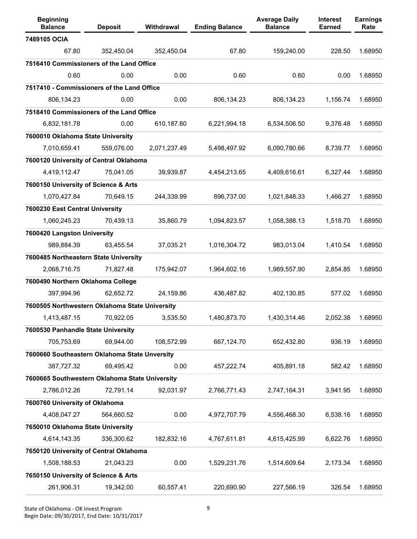| <b>Beginning</b><br><b>Balance</b>             | <b>Deposit</b> | Withdrawal   | <b>Ending Balance</b> | <b>Average Daily</b><br><b>Balance</b> | Interest<br><b>Earned</b> | <b>Earnings</b><br>Rate |
|------------------------------------------------|----------------|--------------|-----------------------|----------------------------------------|---------------------------|-------------------------|
| 7489105 OCIA                                   |                |              |                       |                                        |                           |                         |
| 67.80                                          | 352,450.04     | 352,450.04   | 67.80                 | 159,240.00                             | 228.50                    | 1.68950                 |
| 7516410 Commissioners of the Land Office       |                |              |                       |                                        |                           |                         |
| 0.60                                           | 0.00           | 0.00         | 0.60                  | 0.60                                   | 0.00                      | 1.68950                 |
| 7517410 - Commissioners of the Land Office     |                |              |                       |                                        |                           |                         |
| 806,134.23                                     | 0.00           | 0.00         | 806,134.23            | 806,134.23                             | 1,156.74                  | 1.68950                 |
| 7518410 Commissioners of the Land Office       |                |              |                       |                                        |                           |                         |
| 6,832,181.78                                   | 0.00           | 610,187.60   | 6,221,994.18          | 6,534,506.50                           | 9,376.48                  | 1.68950                 |
| 7600010 Oklahoma State University              |                |              |                       |                                        |                           |                         |
| 7,010,659.41                                   | 559,076.00     | 2,071,237.49 | 5,498,497.92          | 6,090,780.66                           | 8,739.77                  | 1.68950                 |
| 7600120 University of Central Oklahoma         |                |              |                       |                                        |                           |                         |
| 4,419,112.47                                   | 75,041.05      | 39,939.87    | 4,454,213.65          | 4,409,616.61                           | 6,327.44                  | 1.68950                 |
| 7600150 University of Science & Arts           |                |              |                       |                                        |                           |                         |
| 1,070,427.84                                   | 70,649.15      | 244,339.99   | 896,737.00            | 1,021,848.33                           | 1,466.27                  | 1.68950                 |
| 7600230 East Central University                |                |              |                       |                                        |                           |                         |
| 1,060,245.23                                   | 70,439.13      | 35,860.79    | 1,094,823.57          | 1,058,388.13                           | 1,518.70                  | 1.68950                 |
| 7600420 Langston University                    |                |              |                       |                                        |                           |                         |
| 989,884.39                                     | 63,455.54      | 37,035.21    | 1,016,304.72          | 983,013.04                             | 1,410.54                  | 1.68950                 |
| 7600485 Northeastern State University          |                |              |                       |                                        |                           |                         |
| 2,068,716.75                                   | 71,827.48      | 175,942.07   | 1,964,602.16          | 1,989,557.90                           | 2,854.85                  | 1.68950                 |
| 7600490 Northern Oklahoma College              |                |              |                       |                                        |                           |                         |
| 397,994.96                                     | 62,652.72      | 24,159.86    | 436,487.82            | 402,130.85                             | 577.02                    | 1.68950                 |
| 7600505 Northwestern Oklahoma State University |                |              |                       |                                        |                           |                         |
| 1,413,487.15                                   | 70,922.05      | 3,535.50     | 1,480,873.70          | 1,430,314.46                           | 2,052.38                  | 1.68950                 |
| 7600530 Panhandle State University             |                |              |                       |                                        |                           |                         |
| 705,753.69                                     | 69,944.00      | 108,572.99   | 667,124.70            | 652,432.80                             | 936.19                    | 1.68950                 |
| 7600660 Southeastern Oklahoma State Unversity  |                |              |                       |                                        |                           |                         |
| 387,727.32                                     | 69,495.42      | 0.00         | 457,222.74            | 405,891.18                             | 582.42                    | 1.68950                 |
| 7600665 Southwestern Oklahoma State University |                |              |                       |                                        |                           |                         |
| 2,786,012.26                                   | 72,791.14      | 92,031.97    | 2,766,771.43          | 2,747,164.31                           | 3,941.95                  | 1.68950                 |
| 7600760 University of Oklahoma                 |                |              |                       |                                        |                           |                         |
| 4,408,047.27                                   | 564,660.52     | 0.00         | 4,972,707.79          | 4,556,468.30                           | 6,538.16                  | 1.68950                 |
| 7650010 Oklahoma State University              |                |              |                       |                                        |                           |                         |
| 4,614,143.35                                   | 336,300.62     | 182,832.16   | 4,767,611.81          | 4,615,425.99                           | 6,622.76                  | 1.68950                 |
| 7650120 University of Central Oklahoma         |                |              |                       |                                        |                           |                         |
| 1,508,188.53                                   | 21,043.23      | 0.00         | 1,529,231.76          | 1,514,609.64                           | 2,173.34                  | 1.68950                 |
| 7650150 University of Science & Arts           |                |              |                       |                                        |                           |                         |
| 261,906.31                                     | 19,342.00      | 60,557.41    | 220,690.90            | 227,566.19                             | 326.54                    | 1.68950                 |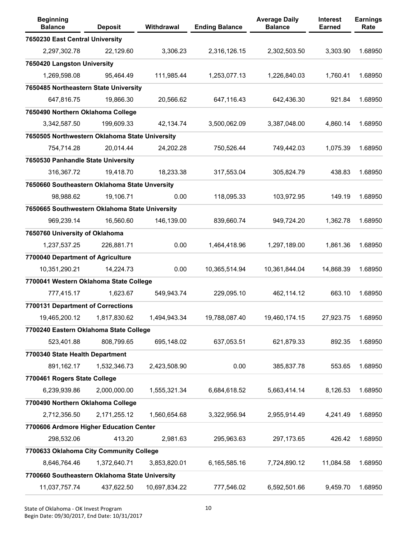| <b>Beginning</b><br><b>Balance</b>             | <b>Deposit</b> | Withdrawal    | <b>Ending Balance</b> | <b>Average Daily</b><br><b>Balance</b> | <b>Interest</b><br><b>Earned</b> | <b>Earnings</b><br>Rate |
|------------------------------------------------|----------------|---------------|-----------------------|----------------------------------------|----------------------------------|-------------------------|
| 7650230 East Central University                |                |               |                       |                                        |                                  |                         |
| 2,297,302.78                                   | 22,129.60      | 3,306.23      | 2,316,126.15          | 2,302,503.50                           | 3,303.90                         | 1.68950                 |
| 7650420 Langston University                    |                |               |                       |                                        |                                  |                         |
| 1,269,598.08                                   | 95,464.49      | 111,985.44    | 1,253,077.13          | 1,226,840.03                           | 1,760.41                         | 1.68950                 |
| 7650485 Northeastern State University          |                |               |                       |                                        |                                  |                         |
| 647,816.75                                     | 19,866.30      | 20,566.62     | 647,116.43            | 642,436.30                             | 921.84                           | 1.68950                 |
| 7650490 Northern Oklahoma College              |                |               |                       |                                        |                                  |                         |
| 3,342,587.50                                   | 199,609.33     | 42,134.74     | 3,500,062.09          | 3,387,048.00                           | 4,860.14                         | 1.68950                 |
| 7650505 Northwestern Oklahoma State University |                |               |                       |                                        |                                  |                         |
| 754,714.28                                     | 20,014.44      | 24,202.28     | 750,526.44            | 749,442.03                             | 1,075.39                         | 1.68950                 |
| 7650530 Panhandle State University             |                |               |                       |                                        |                                  |                         |
| 316,367.72                                     | 19,418.70      | 18,233.38     | 317,553.04            | 305,824.79                             | 438.83                           | 1.68950                 |
| 7650660 Southeastern Oklahoma State Unversity  |                |               |                       |                                        |                                  |                         |
| 98,988.62                                      | 19,106.71      | 0.00          | 118,095.33            | 103,972.95                             | 149.19                           | 1.68950                 |
| 7650665 Southwestern Oklahoma State University |                |               |                       |                                        |                                  |                         |
| 969,239.14                                     | 16,560.60      | 146,139.00    | 839,660.74            | 949,724.20                             | 1,362.78                         | 1.68950                 |
| 7650760 University of Oklahoma                 |                |               |                       |                                        |                                  |                         |
| 1,237,537.25                                   | 226,881.71     | 0.00          | 1,464,418.96          | 1,297,189.00                           | 1,861.36                         | 1.68950                 |
| 7700040 Department of Agriculture              |                |               |                       |                                        |                                  |                         |
| 10,351,290.21                                  | 14,224.73      | 0.00          | 10,365,514.94         | 10,361,844.04                          | 14,868.39                        | 1.68950                 |
| 7700041 Western Oklahoma State College         |                |               |                       |                                        |                                  |                         |
| 777,415.17                                     | 1,623.67       | 549,943.74    | 229,095.10            | 462,114.12                             | 663.10                           | 1.68950                 |
| 7700131 Department of Corrections              |                |               |                       |                                        |                                  |                         |
| 19,465,200.12                                  | 1,817,830.62   | 1,494,943.34  | 19,788,087.40         | 19,460,174.15                          | 27,923.75                        | 1.68950                 |
| 7700240 Eastern Oklahoma State College         |                |               |                       |                                        |                                  |                         |
| 523,401.88                                     | 808,799.65     | 695,148.02    | 637,053.51            | 621,879.33                             | 892.35                           | 1.68950                 |
| 7700340 State Health Department                |                |               |                       |                                        |                                  |                         |
| 891,162.17                                     | 1,532,346.73   | 2,423,508.90  | 0.00                  | 385,837.78                             | 553.65                           | 1.68950                 |
| 7700461 Rogers State College                   |                |               |                       |                                        |                                  |                         |
| 6,239,939.86                                   | 2,000,000.00   | 1,555,321.34  | 6,684,618.52          | 5,663,414.14                           | 8,126.53                         | 1.68950                 |
| 7700490 Northern Oklahoma College              |                |               |                       |                                        |                                  |                         |
| 2,712,356.50                                   | 2,171,255.12   | 1,560,654.68  | 3,322,956.94          | 2,955,914.49                           | 4,241.49                         | 1.68950                 |
| 7700606 Ardmore Higher Education Center        |                |               |                       |                                        |                                  |                         |
| 298,532.06                                     | 413.20         | 2,981.63      | 295,963.63            | 297,173.65                             | 426.42                           | 1.68950                 |
| 7700633 Oklahoma City Community College        |                |               |                       |                                        |                                  |                         |
| 8,646,764.46                                   | 1,372,640.71   | 3,853,820.01  | 6,165,585.16          | 7,724,890.12                           | 11,084.58                        | 1.68950                 |
| 7700660 Southeastern Oklahoma State University |                |               |                       |                                        |                                  |                         |
| 11,037,757.74                                  | 437,622.50     | 10,697,834.22 | 777,546.02            | 6,592,501.66                           | 9,459.70                         | 1.68950                 |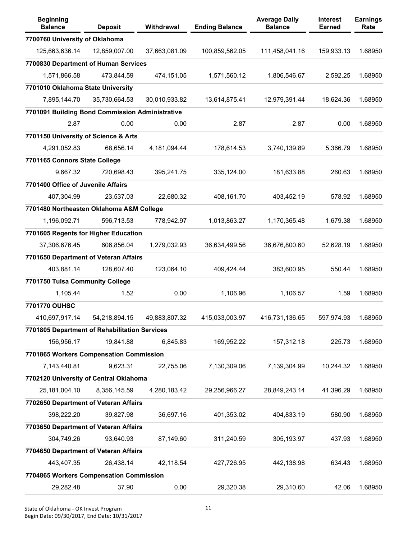| <b>Beginning</b><br><b>Balance</b>              | <b>Deposit</b> | <b>Withdrawal</b> | <b>Ending Balance</b> | <b>Average Daily</b><br><b>Balance</b> | <b>Interest</b><br><b>Earned</b> | <b>Earnings</b><br>Rate |
|-------------------------------------------------|----------------|-------------------|-----------------------|----------------------------------------|----------------------------------|-------------------------|
| 7700760 University of Oklahoma                  |                |                   |                       |                                        |                                  |                         |
| 125,663,636.14                                  | 12,859,007.00  | 37,663,081.09     | 100,859,562.05        | 111,458,041.16                         | 159,933.13                       | 1.68950                 |
| 7700830 Department of Human Services            |                |                   |                       |                                        |                                  |                         |
| 1,571,866.58                                    | 473,844.59     | 474,151.05        | 1,571,560.12          | 1,806,546.67                           | 2,592.25                         | 1.68950                 |
| 7701010 Oklahoma State University               |                |                   |                       |                                        |                                  |                         |
| 7,895,144.70                                    | 35,730,664.53  | 30,010,933.82     | 13,614,875.41         | 12,979,391.44                          | 18,624.36                        | 1.68950                 |
| 7701091 Building Bond Commission Administrative |                |                   |                       |                                        |                                  |                         |
| 2.87                                            | 0.00           | 0.00              | 2.87                  | 2.87                                   | 0.00                             | 1.68950                 |
| 7701150 University of Science & Arts            |                |                   |                       |                                        |                                  |                         |
| 4,291,052.83                                    | 68,656.14      | 4,181,094.44      | 178,614.53            | 3,740,139.89                           | 5,366.79                         | 1.68950                 |
| 7701165 Connors State College                   |                |                   |                       |                                        |                                  |                         |
| 9,667.32                                        | 720,698.43     | 395,241.75        | 335,124.00            | 181,633.88                             | 260.63                           | 1.68950                 |
| 7701400 Office of Juvenile Affairs              |                |                   |                       |                                        |                                  |                         |
| 407,304.99                                      | 23,537.03      | 22,680.32         | 408,161.70            | 403,452.19                             | 578.92                           | 1.68950                 |
| 7701480 Northeasten Oklahoma A&M College        |                |                   |                       |                                        |                                  |                         |
| 1,196,092.71                                    | 596,713.53     | 778,942.97        | 1,013,863.27          | 1,170,365.48                           | 1,679.38                         | 1.68950                 |
| 7701605 Regents for Higher Education            |                |                   |                       |                                        |                                  |                         |
| 37,306,676.45                                   | 606,856.04     | 1,279,032.93      | 36,634,499.56         | 36,676,800.60                          | 52,628.19                        | 1.68950                 |
| 7701650 Department of Veteran Affairs           |                |                   |                       |                                        |                                  |                         |
| 403,881.14                                      | 128,607.40     | 123,064.10        | 409,424.44            | 383,600.95                             | 550.44                           | 1.68950                 |
| 7701750 Tulsa Community College                 |                |                   |                       |                                        |                                  |                         |
| 1,105.44                                        | 1.52           | 0.00              | 1,106.96              | 1,106.57                               | 1.59                             | 1.68950                 |
| 7701770 OUHSC                                   |                |                   |                       |                                        |                                  |                         |
| 410,697,917.14                                  | 54,218,894.15  | 49,883,807.32     | 415,033,003.97        | 416,731,136.65                         | 597,974.93                       | 1.68950                 |
| 7701805 Department of Rehabilitation Services   |                |                   |                       |                                        |                                  |                         |
| 156,956.17                                      | 19,841.88      | 6,845.83          | 169,952.22            | 157,312.18                             | 225.73                           | 1.68950                 |
| 7701865 Workers Compensation Commission         |                |                   |                       |                                        |                                  |                         |
| 7,143,440.81                                    | 9,623.31       | 22,755.06         | 7,130,309.06          | 7,139,304.99                           | 10,244.32                        | 1.68950                 |
| 7702120 University of Central Oklahoma          |                |                   |                       |                                        |                                  |                         |
| 25,181,004.10                                   | 8,356,145.59   | 4,280,183.42      | 29,256,966.27         | 28,849,243.14                          | 41,396.29                        | 1.68950                 |
| 7702650 Department of Veteran Affairs           |                |                   |                       |                                        |                                  |                         |
| 398,222.20                                      | 39,827.98      | 36,697.16         | 401,353.02            | 404,833.19                             | 580.90                           | 1.68950                 |
| 7703650 Department of Veteran Affairs           |                |                   |                       |                                        |                                  |                         |
| 304,749.26                                      | 93,640.93      | 87,149.60         | 311,240.59            | 305,193.97                             | 437.93                           | 1.68950                 |
| 7704650 Department of Veteran Affairs           |                |                   |                       |                                        |                                  |                         |
| 443,407.35                                      | 26,438.14      | 42,118.54         | 427,726.95            | 442,138.98                             | 634.43                           | 1.68950                 |
| 7704865 Workers Compensation Commission         |                |                   |                       |                                        |                                  |                         |
| 29,282.48                                       | 37.90          | 0.00              | 29,320.38             | 29,310.60                              | 42.06                            | 1.68950                 |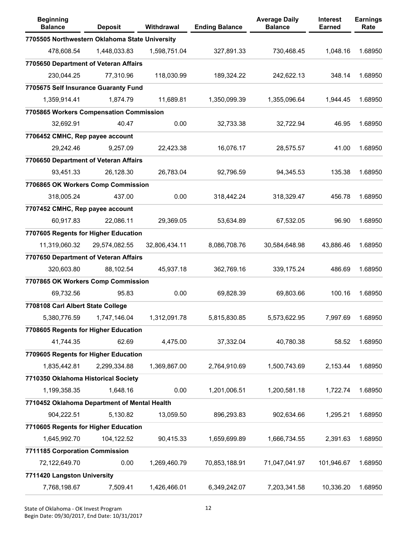| <b>Beginning</b><br><b>Balance</b>             | <b>Deposit</b> | Withdrawal    | <b>Ending Balance</b> | <b>Average Daily</b><br><b>Balance</b> | <b>Interest</b><br><b>Earned</b> | <b>Earnings</b><br>Rate |
|------------------------------------------------|----------------|---------------|-----------------------|----------------------------------------|----------------------------------|-------------------------|
| 7705505 Northwestern Oklahoma State University |                |               |                       |                                        |                                  |                         |
| 478,608.54                                     | 1,448,033.83   | 1,598,751.04  | 327,891.33            | 730,468.45                             | 1,048.16                         | 1.68950                 |
| 7705650 Department of Veteran Affairs          |                |               |                       |                                        |                                  |                         |
| 230,044.25                                     | 77,310.96      | 118,030.99    | 189,324.22            | 242,622.13                             | 348.14                           | 1.68950                 |
| 7705675 Self Insurance Guaranty Fund           |                |               |                       |                                        |                                  |                         |
| 1,359,914.41                                   | 1,874.79       | 11,689.81     | 1,350,099.39          | 1,355,096.64                           | 1,944.45                         | 1.68950                 |
| 7705865 Workers Compensation Commission        |                |               |                       |                                        |                                  |                         |
| 32,692.91                                      | 40.47          | 0.00          | 32,733.38             | 32,722.94                              | 46.95                            | 1.68950                 |
| 7706452 CMHC, Rep payee account                |                |               |                       |                                        |                                  |                         |
| 29,242.46                                      | 9,257.09       | 22,423.38     | 16,076.17             | 28,575.57                              | 41.00                            | 1.68950                 |
| 7706650 Department of Veteran Affairs          |                |               |                       |                                        |                                  |                         |
| 93,451.33                                      | 26,128.30      | 26,783.04     | 92,796.59             | 94,345.53                              | 135.38                           | 1.68950                 |
| 7706865 OK Workers Comp Commission             |                |               |                       |                                        |                                  |                         |
| 318,005.24                                     | 437.00         | 0.00          | 318,442.24            | 318,329.47                             | 456.78                           | 1.68950                 |
| 7707452 CMHC, Rep payee account                |                |               |                       |                                        |                                  |                         |
| 60,917.83                                      | 22,086.11      | 29,369.05     | 53,634.89             | 67,532.05                              | 96.90                            | 1.68950                 |
| 7707605 Regents for Higher Education           |                |               |                       |                                        |                                  |                         |
| 11,319,060.32                                  | 29,574,082.55  | 32,806,434.11 | 8,086,708.76          | 30,584,648.98                          | 43,886.46                        | 1.68950                 |
| 7707650 Department of Veteran Affairs          |                |               |                       |                                        |                                  |                         |
| 320,603.80                                     | 88,102.54      | 45,937.18     | 362,769.16            | 339,175.24                             | 486.69                           | 1.68950                 |
| 7707865 OK Workers Comp Commission             |                |               |                       |                                        |                                  |                         |
| 69,732.56                                      | 95.83          | 0.00          | 69,828.39             | 69,803.66                              | 100.16                           | 1.68950                 |
| 7708108 Carl Albert State College              |                |               |                       |                                        |                                  |                         |
| 5,380,776.59                                   | 1,747,146.04   | 1,312,091.78  | 5,815,830.85          | 5,573,622.95                           | 7,997.69                         | 1.68950                 |
| 7708605 Regents for Higher Education           |                |               |                       |                                        |                                  |                         |
| 41,744.35                                      | 62.69          | 4,475.00      | 37,332.04             | 40,780.38                              | 58.52                            | 1.68950                 |
| 7709605 Regents for Higher Education           |                |               |                       |                                        |                                  |                         |
| 1,835,442.81                                   | 2,299,334.88   | 1,369,867.00  | 2,764,910.69          | 1,500,743.69                           | 2,153.44                         | 1.68950                 |
| 7710350 Oklahoma Historical Society            |                |               |                       |                                        |                                  |                         |
| 1,199,358.35                                   | 1,648.16       | 0.00          | 1,201,006.51          | 1,200,581.18                           | 1,722.74                         | 1.68950                 |
| 7710452 Oklahoma Department of Mental Health   |                |               |                       |                                        |                                  |                         |
| 904,222.51                                     | 5,130.82       | 13,059.50     | 896,293.83            | 902,634.66                             | 1,295.21                         | 1.68950                 |
| 7710605 Regents for Higher Education           |                |               |                       |                                        |                                  |                         |
| 1,645,992.70                                   | 104,122.52     | 90,415.33     | 1,659,699.89          | 1,666,734.55                           | 2,391.63                         | 1.68950                 |
| 7711185 Corporation Commission                 |                |               |                       |                                        |                                  |                         |
| 72,122,649.70                                  | 0.00           | 1,269,460.79  | 70,853,188.91         | 71,047,041.97                          | 101,946.67                       | 1.68950                 |
| 7711420 Langston University                    |                |               |                       |                                        |                                  |                         |
| 7,768,198.67                                   | 7,509.41       | 1,426,466.01  | 6,349,242.07          | 7,203,341.58                           | 10,336.20                        | 1.68950                 |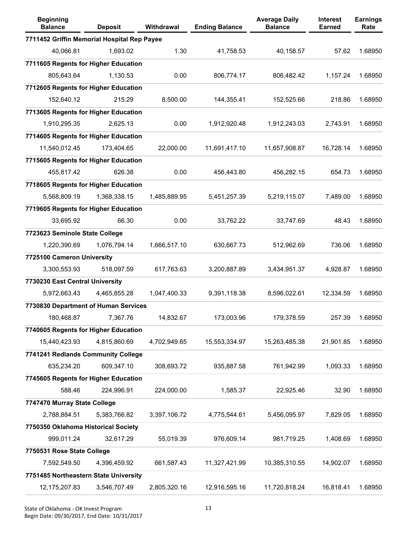| <b>Beginning</b><br><b>Balance</b>          | <b>Deposit</b> | Withdrawal   | <b>Ending Balance</b> | <b>Average Daily</b><br><b>Balance</b> | Interest<br><b>Earned</b> | <b>Earnings</b><br>Rate |
|---------------------------------------------|----------------|--------------|-----------------------|----------------------------------------|---------------------------|-------------------------|
| 7711452 Griffin Memorial Hospital Rep Payee |                |              |                       |                                        |                           |                         |
| 40,066.81                                   | 1,693.02       | 1.30         | 41,758.53             | 40,158.57                              | 57.62                     | 1.68950                 |
| 7711605 Regents for Higher Education        |                |              |                       |                                        |                           |                         |
| 805,643.64                                  | 1,130.53       | 0.00         | 806,774.17            | 806,482.42                             | 1,157.24                  | 1.68950                 |
| 7712605 Regents for Higher Education        |                |              |                       |                                        |                           |                         |
| 152,640.12                                  | 215.29         | 8,500.00     | 144,355.41            | 152,525.66                             | 218.86                    | 1.68950                 |
| 7713605 Regents for Higher Education        |                |              |                       |                                        |                           |                         |
| 1,910,295.35                                | 2,625.13       | 0.00         | 1,912,920.48          | 1,912,243.03                           | 2,743.91                  | 1.68950                 |
| 7714605 Regents for Higher Education        |                |              |                       |                                        |                           |                         |
| 11,540,012.45                               | 173,404.65     | 22,000.00    | 11,691,417.10         | 11,657,908.87                          | 16,728.14                 | 1.68950                 |
| 7715605 Regents for Higher Education        |                |              |                       |                                        |                           |                         |
| 455,817.42                                  | 626.38         | 0.00         | 456,443.80            | 456,282.15                             | 654.73                    | 1.68950                 |
| 7718605 Regents for Higher Education        |                |              |                       |                                        |                           |                         |
| 5,568,809.19                                | 1,368,338.15   | 1,485,889.95 | 5,451,257.39          | 5,219,115.07                           | 7,489.00                  | 1.68950                 |
| 7719605 Regents for Higher Education        |                |              |                       |                                        |                           |                         |
| 33,695.92                                   | 66.30          | 0.00         | 33,762.22             | 33,747.69                              | 48.43                     | 1.68950                 |
| 7723623 Seminole State College              |                |              |                       |                                        |                           |                         |
| 1,220,390.69                                | 1,076,794.14   | 1,666,517.10 | 630,667.73            | 512,962.69                             | 736.06                    | 1.68950                 |
| 7725100 Cameron University                  |                |              |                       |                                        |                           |                         |
| 3,300,553.93                                | 518,097.59     | 617,763.63   | 3,200,887.89          | 3,434,951.37                           | 4,928.87                  | 1.68950                 |
| 7730230 East Central University             |                |              |                       |                                        |                           |                         |
| 5,972,663.43                                | 4,465,855.28   | 1,047,400.33 | 9,391,118.38          | 8,596,022.61                           | 12,334.59                 | 1.68950                 |
| 7730830 Department of Human Services        |                |              |                       |                                        |                           |                         |
| 180,468.87                                  | 7,367.76       | 14,832.67    | 173,003.96            | 179,378.59                             | 257.39                    | 1.68950                 |
| 7740605 Regents for Higher Education        |                |              |                       |                                        |                           |                         |
| 15,440,423.93                               | 4,815,860.69   | 4,702,949.65 | 15,553,334.97         | 15,263,485.38                          | 21,901.85                 | 1.68950                 |
| 7741241 Redlands Community College          |                |              |                       |                                        |                           |                         |
| 635,234.20                                  | 609,347.10     | 308,693.72   | 935,887.58            | 761,942.99                             | 1,093.33                  | 1.68950                 |
| 7745605 Regents for Higher Education        |                |              |                       |                                        |                           |                         |
| 588.46                                      | 224,996.91     | 224,000.00   | 1,585.37              | 22,925.46                              | 32.90                     | 1.68950                 |
| 7747470 Murray State College                |                |              |                       |                                        |                           |                         |
| 2,788,884.51                                | 5,383,766.82   | 3,397,106.72 | 4,775,544.61          | 5,456,095.97                           | 7,829.05                  | 1.68950                 |
| 7750350 Oklahoma Historical Society         |                |              |                       |                                        |                           |                         |
| 999,011.24                                  | 32,617.29      | 55,019.39    | 976,609.14            | 981,719.25                             | 1,408.69                  | 1.68950                 |
| 7750531 Rose State College                  |                |              |                       |                                        |                           |                         |
| 7,592,549.50                                | 4,396,459.92   | 661,587.43   | 11,327,421.99         | 10,385,310.55                          | 14,902.07                 | 1.68950                 |
| 7751485 Northeastern State University       |                |              |                       |                                        |                           |                         |
| 12, 175, 207.83                             | 3,546,707.49   | 2,805,320.16 | 12,916,595.16         | 11,720,818.24                          | 16,818.41                 | 1.68950                 |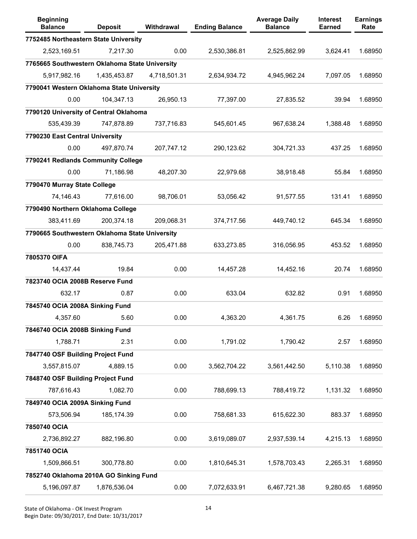| <b>Beginning</b><br><b>Balance</b>             | <b>Deposit</b> | Withdrawal   | <b>Ending Balance</b> | <b>Average Daily</b><br><b>Balance</b> | <b>Interest</b><br><b>Earned</b> | <b>Earnings</b><br>Rate |
|------------------------------------------------|----------------|--------------|-----------------------|----------------------------------------|----------------------------------|-------------------------|
| 7752485 Northeastern State University          |                |              |                       |                                        |                                  |                         |
| 2,523,169.51                                   | 7,217.30       | 0.00         | 2,530,386.81          | 2,525,862.99                           | 3,624.41                         | 1.68950                 |
| 7765665 Southwestern Oklahoma State University |                |              |                       |                                        |                                  |                         |
| 5,917,982.16                                   | 1,435,453.87   | 4,718,501.31 | 2,634,934.72          | 4,945,962.24                           | 7,097.05                         | 1.68950                 |
| 7790041 Western Oklahoma State University      |                |              |                       |                                        |                                  |                         |
| 0.00                                           | 104,347.13     | 26,950.13    | 77,397.00             | 27,835.52                              | 39.94                            | 1.68950                 |
| 7790120 University of Central Oklahoma         |                |              |                       |                                        |                                  |                         |
| 535,439.39                                     | 747,878.89     | 737,716.83   | 545,601.45            | 967,638.24                             | 1,388.48                         | 1.68950                 |
| 7790230 East Central University                |                |              |                       |                                        |                                  |                         |
| 0.00                                           | 497,870.74     | 207,747.12   | 290,123.62            | 304,721.33                             | 437.25                           | 1.68950                 |
| 7790241 Redlands Community College             |                |              |                       |                                        |                                  |                         |
| 0.00                                           | 71,186.98      | 48,207.30    | 22,979.68             | 38,918.48                              | 55.84                            | 1.68950                 |
| 7790470 Murray State College                   |                |              |                       |                                        |                                  |                         |
| 74,146.43                                      | 77,616.00      | 98,706.01    | 53.056.42             | 91,577.55                              | 131.41                           | 1.68950                 |
| 7790490 Northern Oklahoma College              |                |              |                       |                                        |                                  |                         |
| 383,411.69                                     | 200,374.18     | 209,068.31   | 374,717.56            | 449,740.12                             | 645.34                           | 1.68950                 |
| 7790665 Southwestern Oklahoma State University |                |              |                       |                                        |                                  |                         |
| 0.00                                           | 838,745.73     | 205,471.88   | 633,273.85            | 316,056.95                             | 453.52                           | 1.68950                 |
| 7805370 OIFA                                   |                |              |                       |                                        |                                  |                         |
| 14,437.44                                      | 19.84          | 0.00         | 14,457.28             | 14,452.16                              | 20.74                            | 1.68950                 |
| 7823740 OCIA 2008B Reserve Fund                |                |              |                       |                                        |                                  |                         |
| 632.17                                         | 0.87           | 0.00         | 633.04                | 632.82                                 | 0.91                             | 1.68950                 |
| 7845740 OCIA 2008A Sinking Fund                |                |              |                       |                                        |                                  |                         |
| 4,357.60                                       | 5.60           | 0.00         | 4,363.20              | 4,361.75                               | 6.26                             | 1.68950                 |
| 7846740 OCIA 2008B Sinking Fund                |                |              |                       |                                        |                                  |                         |
| 1,788.71                                       | 2.31           | 0.00         | 1,791.02              | 1,790.42                               | 2.57                             | 1.68950                 |
| 7847740 OSF Building Project Fund              |                |              |                       |                                        |                                  |                         |
| 3,557,815.07                                   | 4,889.15       | 0.00         | 3,562,704.22          | 3,561,442.50                           | 5,110.38                         | 1.68950                 |
| 7848740 OSF Building Project Fund              |                |              |                       |                                        |                                  |                         |
| 787,616.43                                     | 1,082.70       | 0.00         | 788,699.13            | 788,419.72                             | 1,131.32                         | 1.68950                 |
| 7849740 OCIA 2009A Sinking Fund                |                |              |                       |                                        |                                  |                         |
| 573,506.94                                     | 185,174.39     | 0.00         | 758,681.33            | 615,622.30                             | 883.37                           | 1.68950                 |
| 7850740 OCIA                                   |                |              |                       |                                        |                                  |                         |
| 2,736,892.27                                   | 882,196.80     | 0.00         | 3,619,089.07          | 2,937,539.14                           | 4,215.13                         | 1.68950                 |
| 7851740 OCIA                                   |                |              |                       |                                        |                                  |                         |
| 1,509,866.51                                   | 300,778.80     | 0.00         | 1,810,645.31          | 1,578,703.43                           | 2,265.31                         | 1.68950                 |
| 7852740 Oklahoma 2010A GO Sinking Fund         |                |              |                       |                                        |                                  |                         |
| 5,196,097.87                                   | 1,876,536.04   | 0.00         | 7,072,633.91          | 6,467,721.38                           | 9,280.65                         | 1.68950                 |